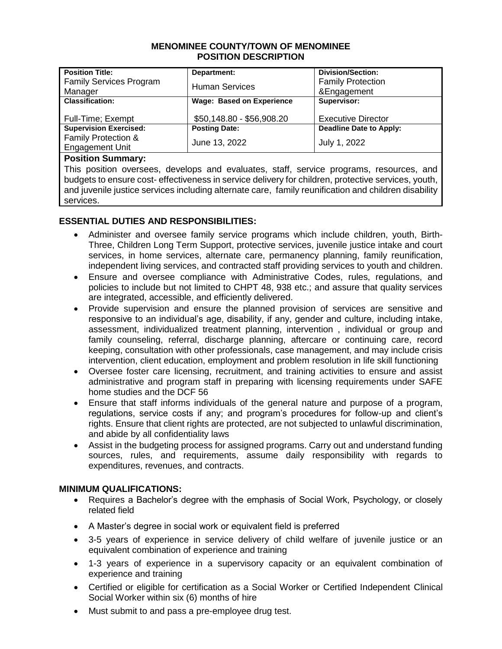#### **MENOMINEE COUNTY/TOWN OF MENOMINEE POSITION DESCRIPTION**

| <b>Position Title:</b>         | Department:                      | <b>Division/Section:</b>  |
|--------------------------------|----------------------------------|---------------------------|
| <b>Family Services Program</b> |                                  | <b>Family Protection</b>  |
| Manager                        | <b>Human Services</b>            | &Engagement               |
| <b>Classification:</b>         | <b>Wage: Based on Experience</b> | Supervisor:               |
|                                |                                  |                           |
| Full-Time; Exempt              | \$50,148.80 - \$56,908.20        | <b>Executive Director</b> |
| <b>Supervision Exercised:</b>  | <b>Posting Date:</b>             | Deadline Date to Apply:   |
| <b>Family Protection &amp;</b> |                                  |                           |
| <b>Engagement Unit</b>         | June 13, 2022                    | July 1, 2022              |
| _____                          |                                  |                           |

#### **Position Summary:**

This position oversees, develops and evaluates, staff, service programs, resources, and budgets to ensure cost- effectiveness in service delivery for children, protective services, youth, and juvenile justice services including alternate care, family reunification and children disability services.

# **ESSENTIAL DUTIES AND RESPONSIBILITIES:**

- Administer and oversee family service programs which include children, youth, Birth-Three, Children Long Term Support, protective services, juvenile justice intake and court services, in home services, alternate care, permanency planning, family reunification, independent living services, and contracted staff providing services to youth and children.
- Ensure and oversee compliance with Administrative Codes, rules, regulations, and policies to include but not limited to CHPT 48, 938 etc.; and assure that quality services are integrated, accessible, and efficiently delivered.
- Provide supervision and ensure the planned provision of services are sensitive and responsive to an individual's age, disability, if any, gender and culture, including intake, assessment, individualized treatment planning, intervention , individual or group and family counseling, referral, discharge planning, aftercare or continuing care, record keeping, consultation with other professionals, case management, and may include crisis intervention, client education, employment and problem resolution in life skill functioning
- Oversee foster care licensing, recruitment, and training activities to ensure and assist administrative and program staff in preparing with licensing requirements under SAFE home studies and the DCF 56
- Ensure that staff informs individuals of the general nature and purpose of a program, regulations, service costs if any; and program's procedures for follow-up and client's rights. Ensure that client rights are protected, are not subjected to unlawful discrimination, and abide by all confidentiality laws
- Assist in the budgeting process for assigned programs. Carry out and understand funding sources, rules, and requirements, assume daily responsibility with regards to expenditures, revenues, and contracts.

### **MINIMUM QUALIFICATIONS:**

- Requires a Bachelor's degree with the emphasis of Social Work, Psychology, or closely related field
- A Master's degree in social work or equivalent field is preferred
- 3-5 years of experience in service delivery of child welfare of juvenile justice or an equivalent combination of experience and training
- 1-3 years of experience in a supervisory capacity or an equivalent combination of experience and training
- Certified or eligible for certification as a Social Worker or Certified Independent Clinical Social Worker within six (6) months of hire
- Must submit to and pass a pre-employee drug test.